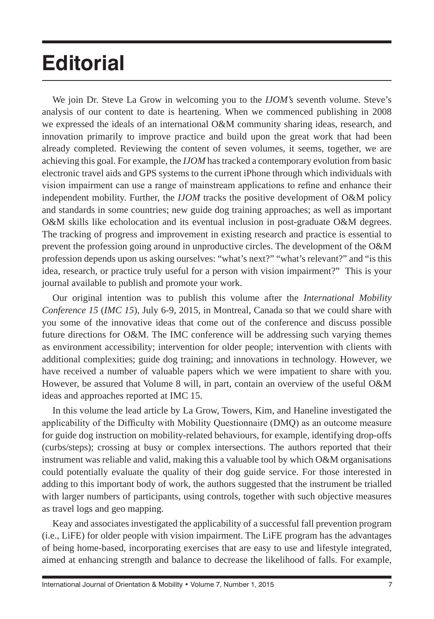## **Editorial**

We join Dr. Steve La Grow in welcoming you to the *IJOM's* seventh volume. Steve's analysis of our content to date is heartening. When we commenced publishing in 2008 we expressed the ideals of an international O&M community sharing ideas, research, and innovation primarily to improve practice and build upon the great work that had been already completed. Reviewing the content of seven volumes, it seems, together, we are achieving this goal. For example, the *IJOM* has tracked a contemporary evolution from basic electronic travel aids and GPS systems to the current iPhone through which individuals with vision impairment can use a range of mainstream applications to refine and enhance their independent mobility. Further, the *IJOM* tracks the positive development of O&M policy and standards in some countries; new guide dog training approaches; as well as important O&M skills like echolocation and its eventual inclusion in post-graduate O&M degrees. The tracking of progress and improvement in existing research and practice is essential to prevent the profession going around in unproductive circles. The development of the O&M profession depends upon us asking ourselves: "what's next?" "what's relevant?" and "is this idea, research, or practice truly useful for a person with vision impairment?" This is your journal available to publish and promote your work.

Our original intention was to publish this volume after the *International Mobility Conference 15* (*IMC 15*), July 6-9, 2015, in Montreal, Canada so that we could share with you some of the innovative ideas that come out of the conference and discuss possible future directions for O&M. The IMC conference will be addressing such varying themes as environment accessibility; intervention for older people; intervention with clients with additional complexities; guide dog training; and innovations in technology. However, we have received a number of valuable papers which we were impatient to share with you. However, be assured that Volume 8 will, in part, contain an overview of the useful O&M ideas and approaches reported at IMC 15.

In this volume the lead article by La Grow, Towers, Kim, and Haneline investigated the applicability of the Difficulty with Mobility Questionnaire (DMQ) as an outcome measure for guide dog instruction on mobility-related behaviours, for example, identifying drop-offs (curbs/steps); crossing at busy or complex intersections. The authors reported that their instrument was reliable and valid, making this a valuable tool by which O&M organisations could potentially evaluate the quality of their dog guide service. For those interested in adding to this important body of work, the authors suggested that the instrument be trialled with larger numbers of participants, using controls, together with such objective measures as travel logs and geo mapping.

Keay and associates investigated the applicability of a successful fall prevention program (i.e., LiFE) for older people with vision impairment. The LiFE program has the advantages of being home-based, incorporating exercises that are easy to use and lifestyle integrated, aimed at enhancing strength and balance to decrease the likelihood of falls. For example,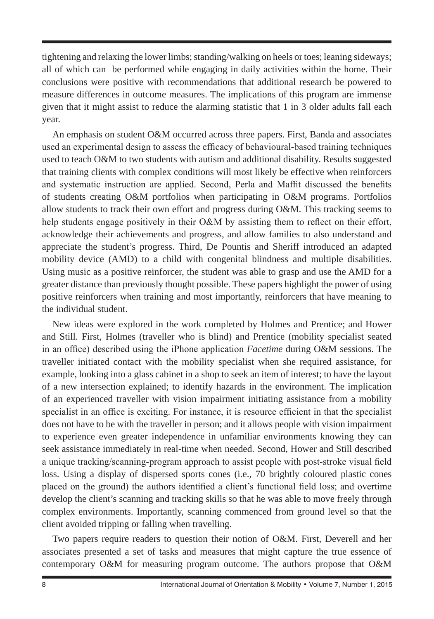tightening and relaxing the lower limbs; standing/walking on heels or toes; leaning sideways; all of which can be performed while engaging in daily activities within the home. Their conclusions were positive with recommendations that additional research be powered to measure differences in outcome measures. The implications of this program are immense given that it might assist to reduce the alarming statistic that 1 in 3 older adults fall each year.

An emphasis on student O&M occurred across three papers. First, Banda and associates used an experimental design to assess the efficacy of behavioural-based training techniques used to teach O&M to two students with autism and additional disability. Results suggested that training clients with complex conditions will most likely be effective when reinforcers and systematic instruction are applied. Second, Perla and Maffit discussed the benefits of students creating O&M portfolios when participating in O&M programs. Portfolios allow students to track their own effort and progress during O&M. This tracking seems to help students engage positively in their O&M by assisting them to reflect on their effort, acknowledge their achievements and progress, and allow families to also understand and appreciate the student's progress. Third, De Pountis and Sheriff introduced an adapted mobility device (AMD) to a child with congenital blindness and multiple disabilities. Using music as a positive reinforcer, the student was able to grasp and use the AMD for a greater distance than previously thought possible. These papers highlight the power of using positive reinforcers when training and most importantly, reinforcers that have meaning to the individual student.

New ideas were explored in the work completed by Holmes and Prentice; and Hower and Still. First, Holmes (traveller who is blind) and Prentice (mobility specialist seated in an office) described using the iPhone application *Facetime* during O&M sessions. The traveller initiated contact with the mobility specialist when she required assistance, for example, looking into a glass cabinet in a shop to seek an item of interest; to have the layout of a new intersection explained; to identify hazards in the environment. The implication of an experienced traveller with vision impairment initiating assistance from a mobility specialist in an office is exciting. For instance, it is resource efficient in that the specialist does not have to be with the traveller in person; and it allows people with vision impairment to experience even greater independence in unfamiliar environments knowing they can seek assistance immediately in real-time when needed. Second, Hower and Still described a unique tracking/scanning-program approach to assist people with post-stroke visual field loss. Using a display of dispersed sports cones (i.e., 70 brightly coloured plastic cones placed on the ground) the authors identified a client's functional field loss; and overtime develop the client's scanning and tracking skills so that he was able to move freely through complex environments. Importantly, scanning commenced from ground level so that the client avoided tripping or falling when travelling.

Two papers require readers to question their notion of O&M. First, Deverell and her associates presented a set of tasks and measures that might capture the true essence of contemporary O&M for measuring program outcome. The authors propose that O&M